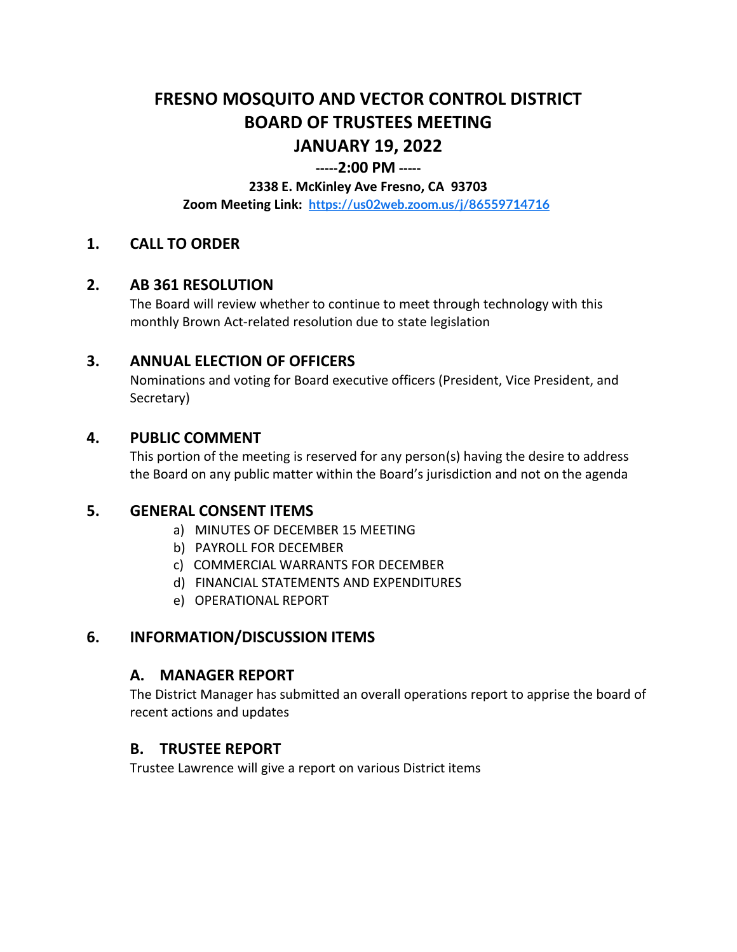# **FRESNO MOSQUITO AND VECTOR CONTROL DISTRICT BOARD OF TRUSTEES MEETING JANUARY 19, 2022**

#### **-----2:00 PM -----**

#### **2338 E. McKinley Ave Fresno, CA 93703**

**Zoom Meeting Link: <https://us02web.zoom.us/j/86559714716>**

#### **1. CALL TO ORDER**

#### **2. AB 361 RESOLUTION**

The Board will review whether to continue to meet through technology with this monthly Brown Act-related resolution due to state legislation

#### **3. ANNUAL ELECTION OF OFFICERS**

Nominations and voting for Board executive officers (President, Vice President, and Secretary)

#### **4. PUBLIC COMMENT**

This portion of the meeting is reserved for any person(s) having the desire to address the Board on any public matter within the Board's jurisdiction and not on the agenda

#### **5. GENERAL CONSENT ITEMS**

- a) MINUTES OF DECEMBER 15 MEETING
- b) PAYROLL FOR DECEMBER
- c) COMMERCIAL WARRANTS FOR DECEMBER
- d) FINANCIAL STATEMENTS AND EXPENDITURES
- e) OPERATIONAL REPORT

#### **6. INFORMATION/DISCUSSION ITEMS**

#### **A. MANAGER REPORT**

The District Manager has submitted an overall operations report to apprise the board of recent actions and updates

#### **B. TRUSTEE REPORT**

Trustee Lawrence will give a report on various District items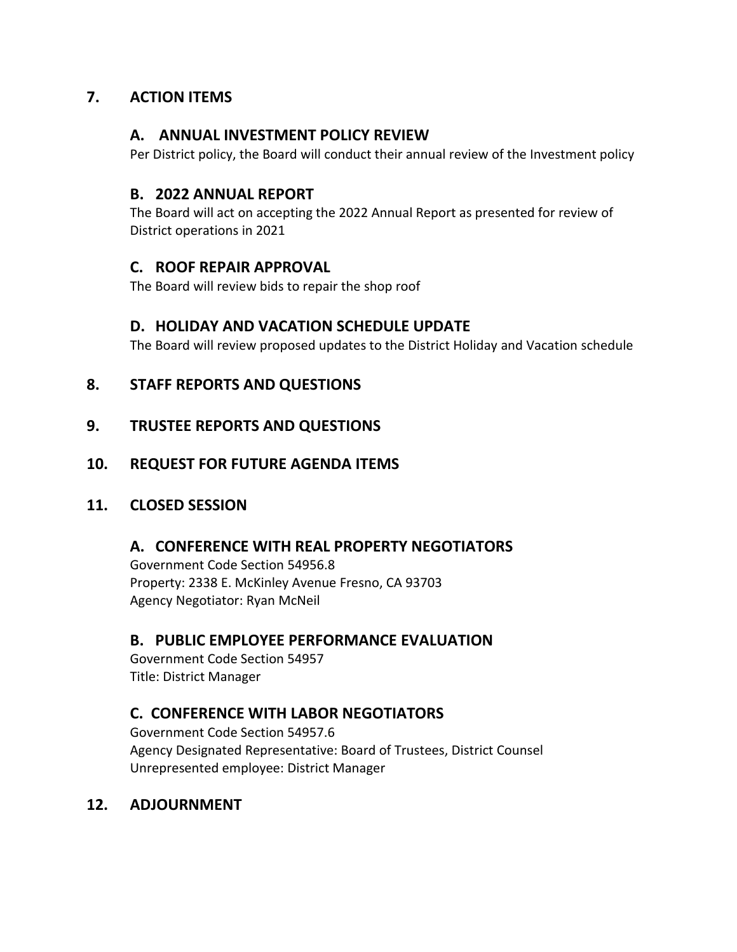# **7. ACTION ITEMS**

## **A. ANNUAL INVESTMENT POLICY REVIEW**

Per District policy, the Board will conduct their annual review of the Investment policy

#### **B. 2022 ANNUAL REPORT**

The Board will act on accepting the 2022 Annual Report as presented for review of District operations in 2021

# **C. ROOF REPAIR APPROVAL**

The Board will review bids to repair the shop roof

## **D. HOLIDAY AND VACATION SCHEDULE UPDATE**

The Board will review proposed updates to the District Holiday and Vacation schedule

# **8. STAFF REPORTS AND QUESTIONS**

## **9. TRUSTEE REPORTS AND QUESTIONS**

## **10. REQUEST FOR FUTURE AGENDA ITEMS**

#### **11. CLOSED SESSION**

#### **A. CONFERENCE WITH REAL PROPERTY NEGOTIATORS**

Government Code Section 54956.8 Property: 2338 E. McKinley Avenue Fresno, CA 93703 Agency Negotiator: Ryan McNeil

# **B. PUBLIC EMPLOYEE PERFORMANCE EVALUATION**

Government Code Section 54957 Title: District Manager

# **C. CONFERENCE WITH LABOR NEGOTIATORS**

Government Code Section 54957.6 Agency Designated Representative: Board of Trustees, District Counsel Unrepresented employee: District Manager

#### **12. ADJOURNMENT**